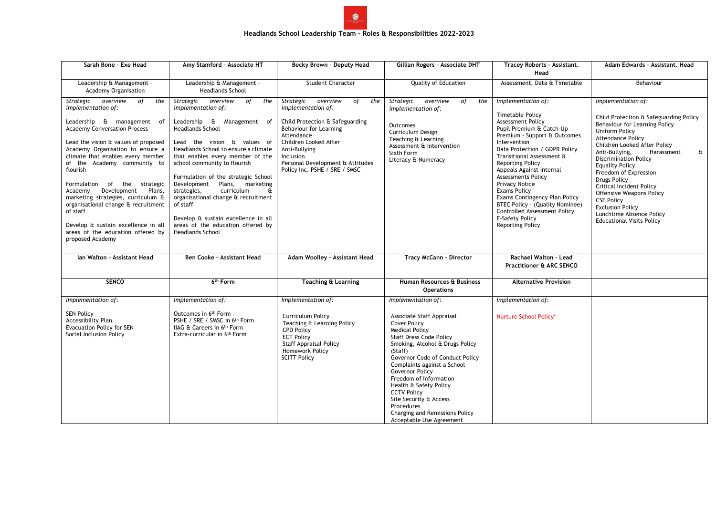

## **Headlands School Leadership Team – Roles & Responsibilities 2022-2023**

| Sarah Bone - Exe Head                                                                                                                                                                                                                                                                                                                                                                                                                                                                                                                               | Amy Stamford - Associate HT                                                                                                                                                                                                                                                                                                                                                                                                                                                                                                  | Becky Brown - Deputy Head                                                                                                                                                                                                                                    | Gillian Rogers - Associate DHT                                                                                                                                                                                                                                                                                                                                                                                                                       | Tracey Roberts - Assistant.<br>Head                                                                                                                                                                                                                                                                                                                                                                                                                                                                       | Adam Edwards - Assistant, Head                                                                                                                                                                                                                                                                                                                                                                                                                                                                                   |
|-----------------------------------------------------------------------------------------------------------------------------------------------------------------------------------------------------------------------------------------------------------------------------------------------------------------------------------------------------------------------------------------------------------------------------------------------------------------------------------------------------------------------------------------------------|------------------------------------------------------------------------------------------------------------------------------------------------------------------------------------------------------------------------------------------------------------------------------------------------------------------------------------------------------------------------------------------------------------------------------------------------------------------------------------------------------------------------------|--------------------------------------------------------------------------------------------------------------------------------------------------------------------------------------------------------------------------------------------------------------|------------------------------------------------------------------------------------------------------------------------------------------------------------------------------------------------------------------------------------------------------------------------------------------------------------------------------------------------------------------------------------------------------------------------------------------------------|-----------------------------------------------------------------------------------------------------------------------------------------------------------------------------------------------------------------------------------------------------------------------------------------------------------------------------------------------------------------------------------------------------------------------------------------------------------------------------------------------------------|------------------------------------------------------------------------------------------------------------------------------------------------------------------------------------------------------------------------------------------------------------------------------------------------------------------------------------------------------------------------------------------------------------------------------------------------------------------------------------------------------------------|
| Leadership & Management -<br><b>Academy Organisation</b>                                                                                                                                                                                                                                                                                                                                                                                                                                                                                            | Leadership & Management -<br><b>Headlands School</b>                                                                                                                                                                                                                                                                                                                                                                                                                                                                         | <b>Student Character</b>                                                                                                                                                                                                                                     | Quality of Education                                                                                                                                                                                                                                                                                                                                                                                                                                 | Assessment, Data & Timetable                                                                                                                                                                                                                                                                                                                                                                                                                                                                              | Behaviour                                                                                                                                                                                                                                                                                                                                                                                                                                                                                                        |
| Strategic overview<br>of<br>the<br>implementation of:<br>Leadership & management of<br><b>Academy Conversation Process</b><br>Lead the vision & values of proposed<br>Academy Organisation to ensure a<br>climate that enables every member<br>of the Academy community to<br>flourish<br>Formulation of the strategic<br>Development<br>Plans,<br>Academy<br>marketing strategies, curriculum &<br>organisational change & recruitment<br>of staff<br>Develop & sustain excellence in all<br>areas of the education offered by<br>proposed Academy | Strategic overview<br>of<br>the<br>implementation of:<br>Leadership & Management of<br><b>Headlands School</b><br>Lead the vision & values of<br>Headlands School to ensure a climate<br>that enables every member of the<br>school community to flourish<br>Formulation of the strategic School<br>Development Plans, marketing<br>curriculum<br>strategies,<br>Œ<br>organisational change & recruitment<br>of staff<br>Develop & sustain excellence in all<br>areas of the education offered by<br><b>Headlands School</b> | Strategic overview<br>of<br>the<br>implementation of:<br>Child Protection & Safeguarding<br>Behaviour for Learning<br>Attendance<br>Children Looked After<br>Anti-Bullying<br>Inclusion<br>Personal Development & Attitudes<br>Policy Inc. PSHE / SRE / SMSC | Strategic<br>overview<br>of<br>the<br>implementation of:<br>Outcomes<br>Curriculum Design<br>Teaching & Learning<br>Assessment & Intervention<br>Sixth Form<br>Literacy & Numeracy                                                                                                                                                                                                                                                                   | Implementation of:<br><b>Timetable Policy</b><br>Assessment Policy<br>Pupil Premium & Catch-Up<br>Premium - Support & Outcomes<br>Intervention<br>Data Protection / GDPR Policy<br>Transitional Assessment &<br><b>Reporting Policy</b><br>Appeals Against Internal<br><b>Assessments Policy</b><br><b>Privacy Notice</b><br><b>Exams Policy</b><br>Exams Contingency Plan Policy<br>BTEC Policy - (Quality Nominee)<br>Controlled Assessment Policy<br><b>E-Safety Policy</b><br><b>Reporting Policy</b> | Implementation of:<br>Child Protection & Safeguarding Policy<br>Behaviour for Learning Policy<br><b>Uniform Policy</b><br><b>Attendance Policy</b><br>Children Looked After Policy<br>Anti-Bullying,<br>Harassment<br>&<br><b>Discrimination Policy</b><br><b>Equality Policy</b><br>Freedom of Expression<br>Drugs Policy<br><b>Critical Incident Policy</b><br><b>Offensive Weapons Policy</b><br><b>CSE Policy</b><br><b>Exclusion Policy</b><br>Lunchtime Absence Policy<br><b>Educational Visits Policy</b> |
| Ian Walton - Assistant Head                                                                                                                                                                                                                                                                                                                                                                                                                                                                                                                         | Ben Cooke - Assistant Head                                                                                                                                                                                                                                                                                                                                                                                                                                                                                                   | Adam Woolley - Assistant Head                                                                                                                                                                                                                                | <b>Tracy McCann - Director</b>                                                                                                                                                                                                                                                                                                                                                                                                                       | Rachael Walton - Lead<br><b>Practitioner &amp; ARC SENCO</b>                                                                                                                                                                                                                                                                                                                                                                                                                                              |                                                                                                                                                                                                                                                                                                                                                                                                                                                                                                                  |
| <b>SENCO</b>                                                                                                                                                                                                                                                                                                                                                                                                                                                                                                                                        | 6 <sup>th</sup> Form                                                                                                                                                                                                                                                                                                                                                                                                                                                                                                         | <b>Teaching &amp; Learning</b>                                                                                                                                                                                                                               | Human Resources & Business<br><b>Operations</b>                                                                                                                                                                                                                                                                                                                                                                                                      | <b>Alternative Provision</b>                                                                                                                                                                                                                                                                                                                                                                                                                                                                              |                                                                                                                                                                                                                                                                                                                                                                                                                                                                                                                  |
| Implementation of:<br><b>SEN Policy</b><br>Accessibility Plan<br><b>Evacuation Policy for SEN</b><br>Social Inclusion Policy                                                                                                                                                                                                                                                                                                                                                                                                                        | Implementation of:<br>Outcomes in 6 <sup>th</sup> Form<br>PSHE / SRE / SMSC in 6th Form<br>IIAG & Careers in 6th Form<br>Extra-curricular in 6 <sup>th</sup> Form                                                                                                                                                                                                                                                                                                                                                            | Implementation of:<br><b>Curriculum Policy</b><br>Teaching & Learning Policy<br><b>CPD Policy</b><br><b>ECT Policy</b><br><b>Staff Appraisal Policy</b><br>Homework Policy<br><b>SCITT Policy</b>                                                            | Implementation of:<br>Associate Staff Appraisal<br><b>Cover Policy</b><br><b>Medical Policy</b><br><b>Staff Dress Code Policy</b><br>Smoking, Alcohol & Drugs Policy<br>(Staff)<br>Governor Code of Conduct Policy<br>Complaints against a School<br>Governor Policy<br>Freedom of Information<br>Health & Safety Policy<br><b>CCTV Policy</b><br>Site Security & Access<br>Procedures<br>Charging and Remissions Policy<br>Acceptable Use Agreement | Implementation of:<br>Nurture School Policy*                                                                                                                                                                                                                                                                                                                                                                                                                                                              |                                                                                                                                                                                                                                                                                                                                                                                                                                                                                                                  |